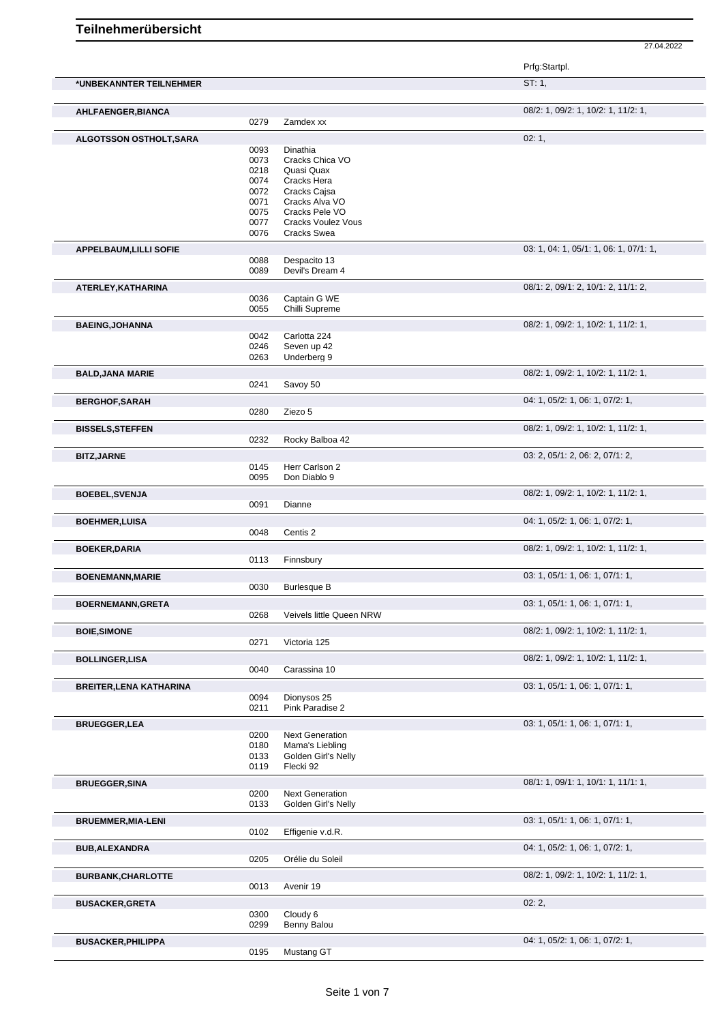27.04.2022

Prfg:Startpl.

| *UNBEKANNTER TEILNEHMER        |              |                                               | ST: 1,                                 |
|--------------------------------|--------------|-----------------------------------------------|----------------------------------------|
| AHLFAENGER, BIANCA             |              |                                               | 08/2: 1, 09/2: 1, 10/2: 1, 11/2: 1,    |
|                                | 0279         | Zamdex xx                                     |                                        |
|                                |              |                                               |                                        |
| <b>ALGOTSSON OSTHOLT, SARA</b> |              |                                               | 02:1,                                  |
|                                | 0093         | Dinathia                                      |                                        |
|                                | 0073         | Cracks Chica VO                               |                                        |
|                                | 0218         | Quasi Quax                                    |                                        |
|                                | 0074         | Cracks Hera                                   |                                        |
|                                | 0072<br>0071 | Cracks Cajsa<br>Cracks Alva VO                |                                        |
|                                | 0075         | Cracks Pele VO                                |                                        |
|                                | 0077         | <b>Cracks Voulez Vous</b>                     |                                        |
|                                | 0076         | <b>Cracks Swea</b>                            |                                        |
|                                |              |                                               |                                        |
| <b>APPELBAUM, LILLI SOFIE</b>  |              |                                               | 03: 1, 04: 1, 05/1: 1, 06: 1, 07/1: 1, |
|                                | 0088         | Despacito 13                                  |                                        |
|                                | 0089         | Devil's Dream 4                               |                                        |
| ATERLEY, KATHARINA             |              |                                               | 08/1: 2, 09/1: 2, 10/1: 2, 11/1: 2,    |
|                                | 0036         | Captain G WE                                  |                                        |
|                                | 0055         | Chilli Supreme                                |                                        |
| <b>BAEING, JOHANNA</b>         |              |                                               | 08/2: 1, 09/2: 1, 10/2: 1, 11/2: 1,    |
|                                | 0042         | Carlotta 224                                  |                                        |
|                                | 0246         | Seven up 42                                   |                                        |
|                                | 0263         | Underberg 9                                   |                                        |
|                                |              |                                               |                                        |
| <b>BALD, JANA MARIE</b>        |              |                                               | 08/2: 1, 09/2: 1, 10/2: 1, 11/2: 1,    |
|                                | 0241         | Savoy 50                                      |                                        |
| <b>BERGHOF, SARAH</b>          |              |                                               | 04: 1, 05/2: 1, 06: 1, 07/2: 1,        |
|                                | 0280         | Ziezo 5                                       |                                        |
| <b>BISSELS, STEFFEN</b>        |              |                                               | 08/2: 1, 09/2: 1, 10/2: 1, 11/2: 1,    |
|                                | 0232         | Rocky Balboa 42                               |                                        |
|                                |              |                                               |                                        |
| <b>BITZ, JARNE</b>             |              |                                               | 03: 2, 05/1: 2, 06: 2, 07/1: 2,        |
|                                | 0145         | Herr Carlson 2                                |                                        |
|                                | 0095         | Don Diablo 9                                  |                                        |
| <b>BOEBEL, SVENJA</b>          |              |                                               | 08/2: 1, 09/2: 1, 10/2: 1, 11/2: 1,    |
|                                | 0091         | Dianne                                        |                                        |
| <b>BOEHMER, LUISA</b>          |              |                                               | 04: 1, 05/2: 1, 06: 1, 07/2: 1,        |
|                                | 0048         | Centis 2                                      |                                        |
|                                |              |                                               |                                        |
| <b>BOEKER, DARIA</b>           |              |                                               | 08/2: 1, 09/2: 1, 10/2: 1, 11/2: 1,    |
|                                | 0113         | Finnsbury                                     |                                        |
| <b>BOENEMANN, MARIE</b>        |              |                                               | 03: 1, 05/1: 1, 06: 1, 07/1: 1,        |
|                                | 0030         | <b>Burlesque B</b>                            |                                        |
|                                |              |                                               |                                        |
|                                |              |                                               |                                        |
| <b>BOERNEMANN, GRETA</b>       |              |                                               | 03: 1, 05/1: 1, 06: 1, 07/1: 1,        |
|                                | 0268         | Veivels little Queen NRW                      |                                        |
| <b>BOIE, SIMONE</b>            |              |                                               | 08/2: 1, 09/2: 1, 10/2: 1, 11/2: 1,    |
|                                | 0271         | Victoria 125                                  |                                        |
| <b>BOLLINGER, LISA</b>         |              |                                               | 08/2: 1, 09/2: 1, 10/2: 1, 11/2: 1,    |
|                                | 0040         | Carassina 10                                  |                                        |
| <b>BREITER, LENA KATHARINA</b> |              |                                               | 03: 1, 05/1: 1, 06: 1, 07/1: 1,        |
|                                | 0094         | Dionysos 25                                   |                                        |
|                                | 0211         | Pink Paradise 2                               |                                        |
|                                |              |                                               |                                        |
| <b>BRUEGGER, LEA</b>           |              |                                               | 03: 1, 05/1: 1, 06: 1, 07/1: 1,        |
|                                | 0200         | <b>Next Generation</b>                        |                                        |
|                                | 0180<br>0133 | Mama's Liebling<br>Golden Girl's Nelly        |                                        |
|                                | 0119         | Flecki 92                                     |                                        |
|                                |              |                                               |                                        |
| <b>BRUEGGER, SINA</b>          |              |                                               | 08/1: 1, 09/1: 1, 10/1: 1, 11/1: 1,    |
|                                | 0200<br>0133 | <b>Next Generation</b><br>Golden Girl's Nelly |                                        |
|                                |              |                                               |                                        |
| <b>BRUEMMER, MIA-LENI</b>      |              |                                               | 03: 1, 05/1: 1, 06: 1, 07/1: 1,        |
|                                | 0102         | Effigenie v.d.R.                              |                                        |
| <b>BUB, ALEXANDRA</b>          |              |                                               | 04: 1, 05/2: 1, 06: 1, 07/2: 1,        |
|                                | 0205         | Orélie du Soleil                              |                                        |
|                                |              |                                               |                                        |
| <b>BURBANK, CHARLOTTE</b>      | 0013         | Avenir 19                                     | 08/2: 1, 09/2: 1, 10/2: 1, 11/2: 1,    |
|                                |              |                                               |                                        |
| <b>BUSACKER, GRETA</b>         |              |                                               | 02:2,                                  |
|                                | 0300         | Cloudy 6                                      |                                        |
|                                | 0299         | Benny Balou                                   |                                        |
| <b>BUSACKER, PHILIPPA</b>      | 0195         | Mustang GT                                    | 04: 1, 05/2: 1, 06: 1, 07/2: 1,        |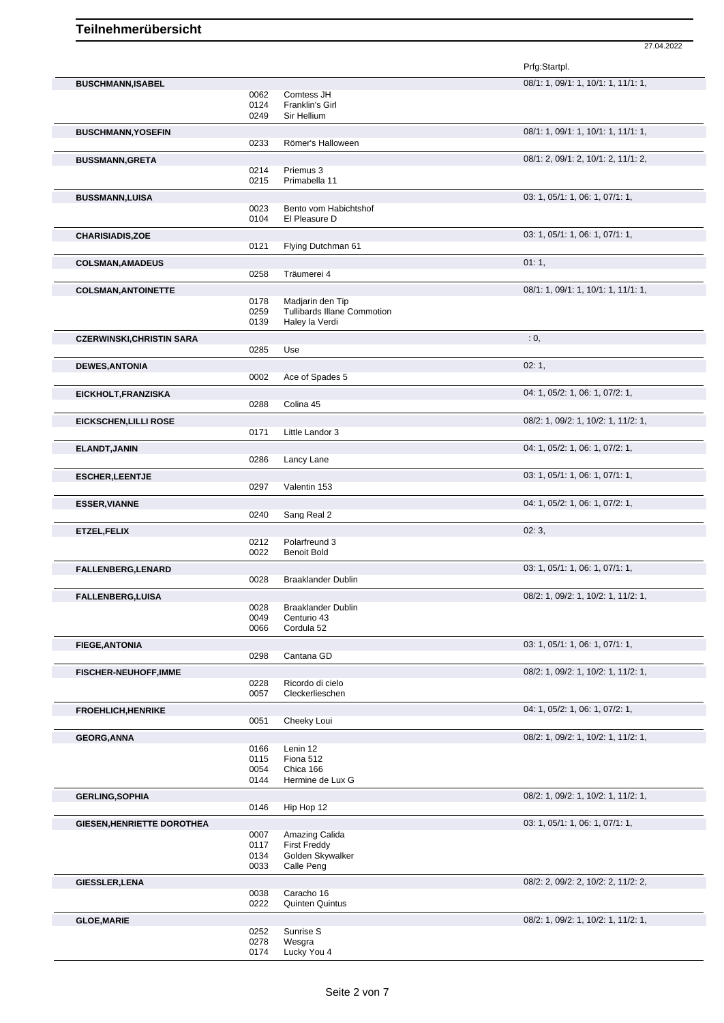|                                   |              |                                                        | Prfg:Startpl.                       |
|-----------------------------------|--------------|--------------------------------------------------------|-------------------------------------|
| <b>BUSCHMANN, ISABEL</b>          |              |                                                        | 08/1: 1, 09/1: 1, 10/1: 1, 11/1: 1, |
|                                   | 0062         | Comtess JH                                             |                                     |
|                                   | 0124         | Franklin's Girl                                        |                                     |
|                                   | 0249         | Sir Hellium                                            |                                     |
| <b>BUSCHMANN, YOSEFIN</b>         |              |                                                        | 08/1: 1, 09/1: 1, 10/1: 1, 11/1: 1, |
|                                   | 0233         | Römer's Halloween                                      |                                     |
| <b>BUSSMANN, GRETA</b>            |              |                                                        | 08/1: 2, 09/1: 2, 10/1: 2, 11/1: 2, |
|                                   | 0214         | Priemus 3                                              |                                     |
|                                   | 0215         | Primabella 11                                          |                                     |
| <b>BUSSMANN,LUISA</b>             |              |                                                        | 03: 1, 05/1: 1, 06: 1, 07/1: 1,     |
|                                   | 0023         | Bento vom Habichtshof                                  |                                     |
|                                   | 0104         | El Pleasure D                                          |                                     |
| <b>CHARISIADIS, ZOE</b>           |              |                                                        | 03: 1, 05/1: 1, 06: 1, 07/1: 1,     |
|                                   | 0121         | Flying Dutchman 61                                     |                                     |
|                                   |              |                                                        | 01:1,                               |
| <b>COLSMAN, AMADEUS</b>           | 0258         | Träumerei 4                                            |                                     |
|                                   |              |                                                        |                                     |
| <b>COLSMAN, ANTOINETTE</b>        |              |                                                        | 08/1: 1, 09/1: 1, 10/1: 1, 11/1: 1, |
|                                   | 0178<br>0259 | Madjarin den Tip<br><b>Tullibards Illane Commotion</b> |                                     |
|                                   | 0139         | Haley la Verdi                                         |                                     |
|                                   |              |                                                        |                                     |
| <b>CZERWINSKI, CHRISTIN SARA</b>  |              |                                                        | : 0,                                |
|                                   | 0285         | Use                                                    |                                     |
| <b>DEWES, ANTONIA</b>             |              |                                                        | 02:1,                               |
|                                   | 0002         | Ace of Spades 5                                        |                                     |
| EICKHOLT, FRANZISKA               |              |                                                        | 04: 1, 05/2: 1, 06: 1, 07/2: 1,     |
|                                   | 0288         | Colina 45                                              |                                     |
| <b>EICKSCHEN, LILLI ROSE</b>      |              |                                                        | 08/2: 1, 09/2: 1, 10/2: 1, 11/2: 1, |
|                                   | 0171         | Little Landor 3                                        |                                     |
|                                   |              |                                                        |                                     |
| <b>ELANDT, JANIN</b>              | 0286         | Lancy Lane                                             | 04: 1, 05/2: 1, 06: 1, 07/2: 1,     |
|                                   |              |                                                        |                                     |
| <b>ESCHER, LEENTJE</b>            |              |                                                        | 03: 1, 05/1: 1, 06: 1, 07/1: 1,     |
|                                   | 0297         | Valentin 153                                           |                                     |
| <b>ESSER, VIANNE</b>              |              |                                                        | 04: 1, 05/2: 1, 06: 1, 07/2: 1,     |
|                                   | 0240         | Sang Real 2                                            |                                     |
| ETZEL, FELIX                      |              |                                                        | 02:3,                               |
|                                   | 0212         | Polarfreund 3                                          |                                     |
|                                   | 0022         | <b>Benoit Bold</b>                                     |                                     |
| <b>FALLENBERG,LENARD</b>          |              |                                                        | 03: 1, 05/1: 1, 06: 1, 07/1: 1,     |
|                                   | 0028         | <b>Braaklander Dublin</b>                              |                                     |
|                                   |              |                                                        |                                     |
| <b>FALLENBERG,LUISA</b>           | 0028         | Braaklander Dublin                                     | 08/2: 1, 09/2: 1, 10/2: 1, 11/2: 1, |
|                                   | 0049         | Centurio 43                                            |                                     |
|                                   | 0066         | Cordula 52                                             |                                     |
|                                   |              |                                                        | 03: 1, 05/1: 1, 06: 1, 07/1: 1,     |
| <b>FIEGE, ANTONIA</b>             | 0298         | Cantana GD                                             |                                     |
|                                   |              |                                                        |                                     |
| <b>FISCHER-NEUHOFF, IMME</b>      |              |                                                        | 08/2: 1, 09/2: 1, 10/2: 1, 11/2: 1, |
|                                   | 0228<br>0057 | Ricordo di cielo<br>Cleckerlieschen                    |                                     |
|                                   |              |                                                        |                                     |
| <b>FROEHLICH, HENRIKE</b>         |              |                                                        | 04: 1, 05/2: 1, 06: 1, 07/2: 1,     |
|                                   | 0051         | Cheeky Loui                                            |                                     |
| <b>GEORG, ANNA</b>                |              |                                                        | 08/2: 1, 09/2: 1, 10/2: 1, 11/2: 1, |
|                                   | 0166         | Lenin 12                                               |                                     |
|                                   | 0115         | Fiona 512                                              |                                     |
|                                   | 0054<br>0144 | Chica 166<br>Hermine de Lux G                          |                                     |
|                                   |              |                                                        |                                     |
| <b>GERLING, SOPHIA</b>            |              |                                                        | 08/2: 1, 09/2: 1, 10/2: 1, 11/2: 1, |
|                                   | 0146         | Hip Hop 12                                             |                                     |
| <b>GIESEN, HENRIETTE DOROTHEA</b> |              |                                                        | 03: 1, 05/1: 1, 06: 1, 07/1: 1,     |
|                                   | 0007         | Amazing Calida                                         |                                     |
|                                   | 0117         | <b>First Freddy</b>                                    |                                     |
|                                   | 0134<br>0033 | Golden Skywalker<br>Calle Peng                         |                                     |
|                                   |              |                                                        |                                     |
| <b>GIESSLER, LENA</b>             |              |                                                        | 08/2: 2, 09/2: 2, 10/2: 2, 11/2: 2, |
|                                   | 0038         | Caracho 16                                             |                                     |
|                                   | 0222         | <b>Quinten Quintus</b>                                 |                                     |
| <b>GLOE, MARIE</b>                |              |                                                        | 08/2: 1, 09/2: 1, 10/2: 1, 11/2: 1, |
|                                   | 0252         | Sunrise S                                              |                                     |
|                                   | 0278         | Wesgra                                                 |                                     |
|                                   | 0174         | Lucky You 4                                            |                                     |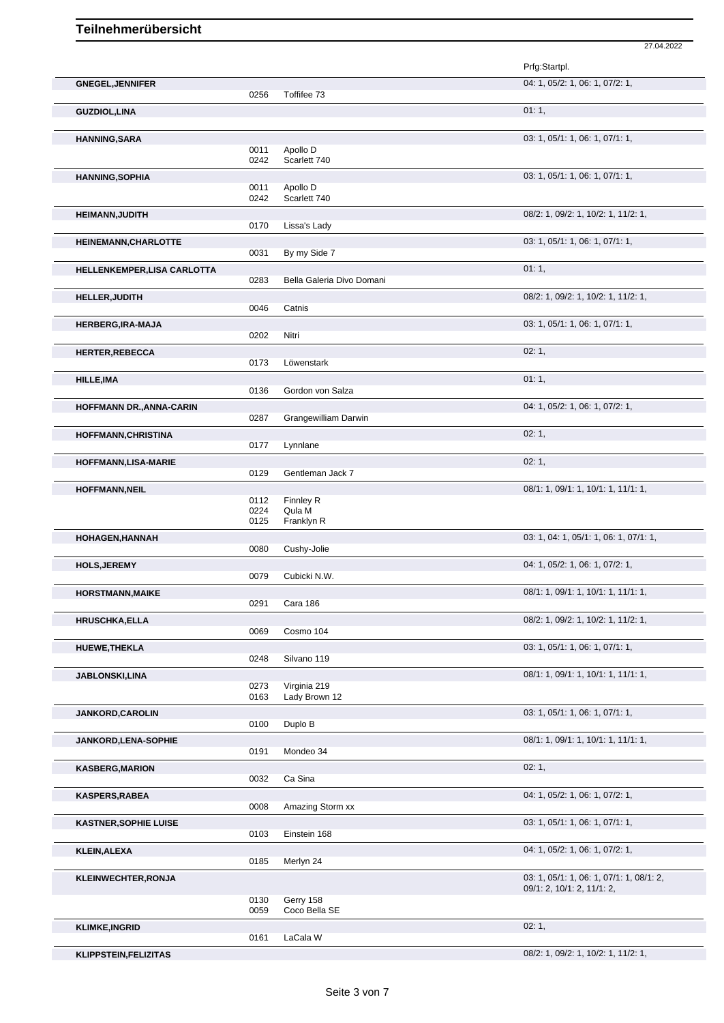|                              |              |                            | Prfg:Startpl.                            |
|------------------------------|--------------|----------------------------|------------------------------------------|
| <b>GNEGEL, JENNIFER</b>      | 0256         | Toffifee 73                | 04: 1, 05/2: 1, 06: 1, 07/2: 1,          |
| <b>GUZDIOL, LINA</b>         |              |                            | 01:1,                                    |
| <b>HANNING, SARA</b>         |              |                            | 03: 1, 05/1: 1, 06: 1, 07/1: 1,          |
|                              | 0011<br>0242 | Apollo D<br>Scarlett 740   |                                          |
| <b>HANNING, SOPHIA</b>       |              |                            | 03: 1, 05/1: 1, 06: 1, 07/1: 1,          |
|                              | 0011<br>0242 | Apollo D<br>Scarlett 740   |                                          |
| <b>HEIMANN, JUDITH</b>       |              |                            | 08/2: 1, 09/2: 1, 10/2: 1, 11/2: 1,      |
|                              | 0170         | Lissa's Lady               |                                          |
| <b>HEINEMANN, CHARLOTTE</b>  | 0031         | By my Side 7               | 03: 1, 05/1: 1, 06: 1, 07/1: 1,          |
| HELLENKEMPER, LISA CARLOTTA  |              |                            | 01:1,                                    |
|                              | 0283         | Bella Galeria Divo Domani  | 08/2: 1, 09/2: 1, 10/2: 1, 11/2: 1,      |
| <b>HELLER, JUDITH</b>        | 0046         | Catnis                     |                                          |
| HERBERG, IRA-MAJA            |              |                            | 03: 1, 05/1: 1, 06: 1, 07/1: 1,          |
| <b>HERTER, REBECCA</b>       | 0202         | Nitri                      | 02:1,                                    |
|                              | 0173         | Löwenstark                 |                                          |
| HILLE, IMA                   | 0136         | Gordon von Salza           | 01:1,                                    |
| HOFFMANN DR., ANNA-CARIN     |              |                            | 04: 1, 05/2: 1, 06: 1, 07/2: 1,          |
|                              | 0287         | Grangewilliam Darwin       |                                          |
| <b>HOFFMANN, CHRISTINA</b>   | 0177         | Lynnlane                   | 02:1,                                    |
| <b>HOFFMANN,LISA-MARIE</b>   |              |                            | 02:1,                                    |
|                              | 0129         | Gentleman Jack 7           |                                          |
| <b>HOFFMANN, NEIL</b>        | 0112         | Finnley R                  | 08/1: 1, 09/1: 1, 10/1: 1, 11/1: 1,      |
|                              | 0224         | Qula M                     |                                          |
| <b>HOHAGEN, HANNAH</b>       | 0125         | Franklyn R                 | 03: 1, 04: 1, 05/1: 1, 06: 1, 07/1: 1,   |
|                              | 0080         | Cushy-Jolie                |                                          |
| <b>HOLS, JEREMY</b>          | 0079         | Cubicki N.W.               | 04: 1, 05/2: 1, 06: 1, 07/2: 1,          |
| <b>HORSTMANN, MAIKE</b>      |              |                            | 08/1: 1, 09/1: 1, 10/1: 1, 11/1: 1,      |
|                              | 0291         | Cara 186                   |                                          |
| <b>HRUSCHKA, ELLA</b>        | 0069         | Cosmo 104                  | 08/2: 1, 09/2: 1, 10/2: 1, 11/2: 1,      |
| <b>HUEWE, THEKLA</b>         |              |                            | 03: 1, 05/1: 1, 06: 1, 07/1: 1,          |
|                              | 0248         | Silvano 119                |                                          |
| <b>JABLONSKI,LINA</b>        | 0273         | Virginia 219               | 08/1: 1, 09/1: 1, 10/1: 1, 11/1: 1,      |
|                              | 0163         | Lady Brown 12              |                                          |
| <b>JANKORD,CAROLIN</b>       | 0100         | Duplo B                    | 03: 1, 05/1: 1, 06: 1, 07/1: 1,          |
| <b>JANKORD,LENA-SOPHIE</b>   |              |                            | 08/1: 1, 09/1: 1, 10/1: 1, 11/1: 1,      |
|                              | 0191         | Mondeo 34                  |                                          |
| <b>KASBERG, MARION</b>       | 0032         | Ca Sina                    | 02:1,                                    |
| <b>KASPERS, RABEA</b>        |              |                            | 04: 1, 05/2: 1, 06: 1, 07/2: 1,          |
| <b>KASTNER, SOPHIE LUISE</b> | 0008         | Amazing Storm xx           | 03: 1, 05/1: 1, 06: 1, 07/1: 1,          |
|                              | 0103         | Einstein 168               |                                          |
| KLEIN, ALEXA                 |              |                            | 04: 1, 05/2: 1, 06: 1, 07/2: 1,          |
| <b>KLEINWECHTER, RONJA</b>   | 0185         | Merlyn 24                  | 03: 1, 05/1: 1, 06: 1, 07/1: 1, 08/1: 2, |
|                              |              |                            | 09/1: 2, 10/1: 2, 11/1: 2,               |
|                              | 0130<br>0059 | Gerry 158<br>Coco Bella SE |                                          |
| <b>KLIMKE, INGRID</b>        |              |                            | 02:1,                                    |
|                              | 0161         | LaCala W                   |                                          |
| <b>KLIPPSTEIN, FELIZITAS</b> |              |                            | 08/2: 1, 09/2: 1, 10/2: 1, 11/2: 1,      |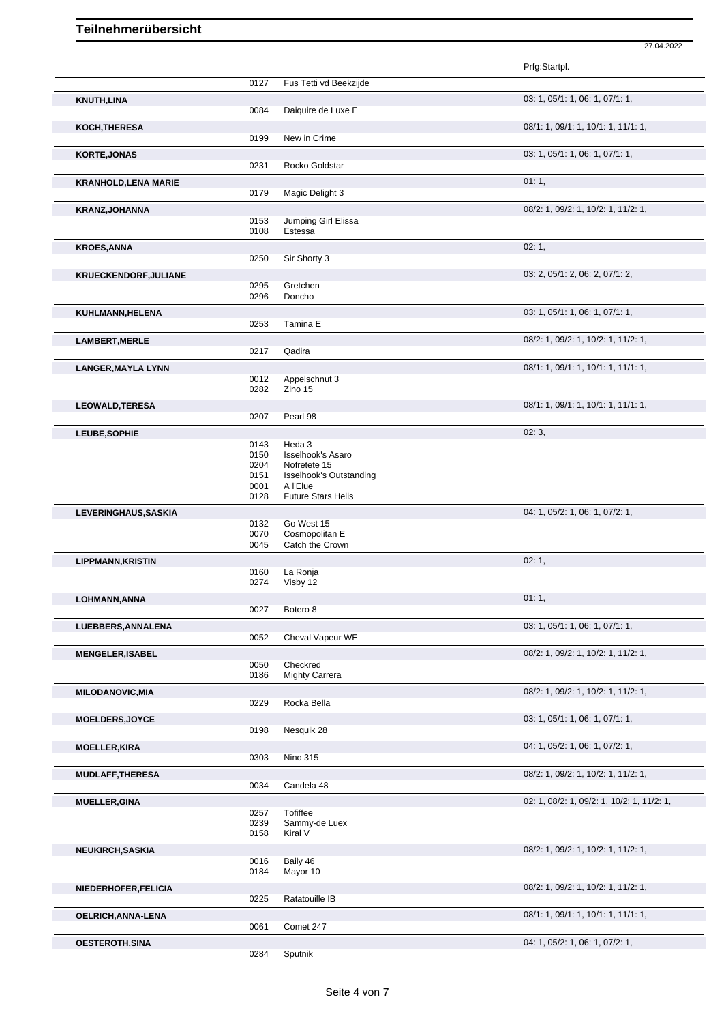|                             |              |                                    | Prfg:Startpl.                              |
|-----------------------------|--------------|------------------------------------|--------------------------------------------|
|                             | 0127         | Fus Tetti vd Beekzijde             |                                            |
| <b>KNUTH,LINA</b>           |              |                                    | 03: 1, 05/1: 1, 06: 1, 07/1: 1,            |
|                             | 0084         | Daiquire de Luxe E                 |                                            |
| KOCH, THERESA               |              |                                    | 08/1: 1, 09/1: 1, 10/1: 1, 11/1: 1,        |
|                             | 0199         | New in Crime                       |                                            |
| <b>KORTE, JONAS</b>         |              |                                    | 03: 1, 05/1: 1, 06: 1, 07/1: 1,            |
|                             | 0231         | Rocko Goldstar                     |                                            |
| <b>KRANHOLD, LENA MARIE</b> |              |                                    | 01:1,                                      |
|                             | 0179         | Magic Delight 3                    |                                            |
| <b>KRANZ, JOHANNA</b>       |              |                                    | 08/2: 1, 09/2: 1, 10/2: 1, 11/2: 1,        |
|                             | 0153         | Jumping Girl Elissa                |                                            |
|                             | 0108         | Estessa                            |                                            |
| <b>KROES, ANNA</b>          |              |                                    | 02:1,                                      |
|                             | 0250         | Sir Shorty 3                       |                                            |
| KRUECKENDORF, JULIANE       |              |                                    | 03: 2, 05/1: 2, 06: 2, 07/1: 2,            |
|                             | 0295         | Gretchen                           |                                            |
|                             | 0296         | Doncho                             |                                            |
| KUHLMANN, HELENA            |              |                                    | 03: 1, 05/1: 1, 06: 1, 07/1: 1,            |
|                             | 0253         | Tamina E                           |                                            |
| <b>LAMBERT, MERLE</b>       |              |                                    | 08/2: 1, 09/2: 1, 10/2: 1, 11/2: 1,        |
|                             | 0217         | Qadira                             |                                            |
| <b>LANGER, MAYLA LYNN</b>   |              |                                    | 08/1: 1, 09/1: 1, 10/1: 1, 11/1: 1,        |
|                             | 0012<br>0282 | Appelschnut 3<br>Zino 15           |                                            |
|                             |              |                                    |                                            |
| <b>LEOWALD, TERESA</b>      |              |                                    | 08/1: 1, 09/1: 1, 10/1: 1, 11/1: 1,        |
|                             | 0207         | Pearl 98                           |                                            |
| LEUBE, SOPHIE               |              |                                    | 02:3,                                      |
|                             | 0143<br>0150 | Heda 3<br><b>Isselhook's Asaro</b> |                                            |
|                             | 0204         | Nofretete 15                       |                                            |
|                             | 0151         | <b>Isselhook's Outstanding</b>     |                                            |
|                             | 0001         | A l'Elue                           |                                            |
|                             | 0128         | <b>Future Stars Helis</b>          |                                            |
| LEVERINGHAUS, SASKIA        |              |                                    | 04: 1, 05/2: 1, 06: 1, 07/2: 1,            |
|                             | 0132         | Go West 15                         |                                            |
|                             | 0070<br>0045 | Cosmopolitan E<br>Catch the Crown  |                                            |
|                             |              |                                    | 02:1,                                      |
| <b>LIPPMANN, KRISTIN</b>    | 0160         | La Ronja                           |                                            |
|                             | 0274         | Visby 12                           |                                            |
| LOHMANN, ANNA               |              |                                    | 01:1,                                      |
|                             | 0027         | Botero <sub>8</sub>                |                                            |
| LUEBBERS, ANNALENA          |              |                                    | 03: 1, 05/1: 1, 06: 1, 07/1: 1,            |
|                             | 0052         | Cheval Vapeur WE                   |                                            |
| <b>MENGELER, ISABEL</b>     |              |                                    | 08/2: 1, 09/2: 1, 10/2: 1, 11/2: 1,        |
|                             | 0050         | Checkred                           |                                            |
|                             | 0186         | <b>Mighty Carrera</b>              |                                            |
| <b>MILODANOVIC, MIA</b>     |              |                                    | 08/2: 1, 09/2: 1, 10/2: 1, 11/2: 1,        |
|                             | 0229         | Rocka Bella                        |                                            |
| <b>MOELDERS, JOYCE</b>      |              |                                    | 03: 1, 05/1: 1, 06: 1, 07/1: 1,            |
|                             | 0198         | Nesquik 28                         |                                            |
| <b>MOELLER, KIRA</b>        |              |                                    | 04: 1, 05/2: 1, 06: 1, 07/2: 1,            |
|                             | 0303         | <b>Nino 315</b>                    |                                            |
| <b>MUDLAFF, THERESA</b>     |              |                                    | 08/2: 1, 09/2: 1, 10/2: 1, 11/2: 1,        |
|                             | 0034         | Candela 48                         |                                            |
| <b>MUELLER, GINA</b>        |              |                                    | 02: 1, 08/2: 1, 09/2: 1, 10/2: 1, 11/2: 1, |
|                             | 0257         | <b>Tofiffee</b>                    |                                            |
|                             | 0239         | Sammy-de Luex                      |                                            |
|                             | 0158         | Kiral V                            |                                            |
| <b>NEUKIRCH, SASKIA</b>     |              |                                    | 08/2: 1, 09/2: 1, 10/2: 1, 11/2: 1,        |
|                             | 0016         | Baily 46                           |                                            |
|                             |              |                                    |                                            |
|                             | 0184         | Mayor 10                           |                                            |
| NIEDERHOFER, FELICIA        |              |                                    | 08/2: 1, 09/2: 1, 10/2: 1, 11/2: 1,        |
|                             | 0225         | Ratatouille IB                     |                                            |
| OELRICH, ANNA-LENA          |              |                                    | 08/1: 1, 09/1: 1, 10/1: 1, 11/1: 1,        |
|                             | 0061         | Comet 247                          |                                            |
| <b>OESTEROTH, SINA</b>      | 0284         | Sputnik                            | 04: 1, 05/2: 1, 06: 1, 07/2: 1,            |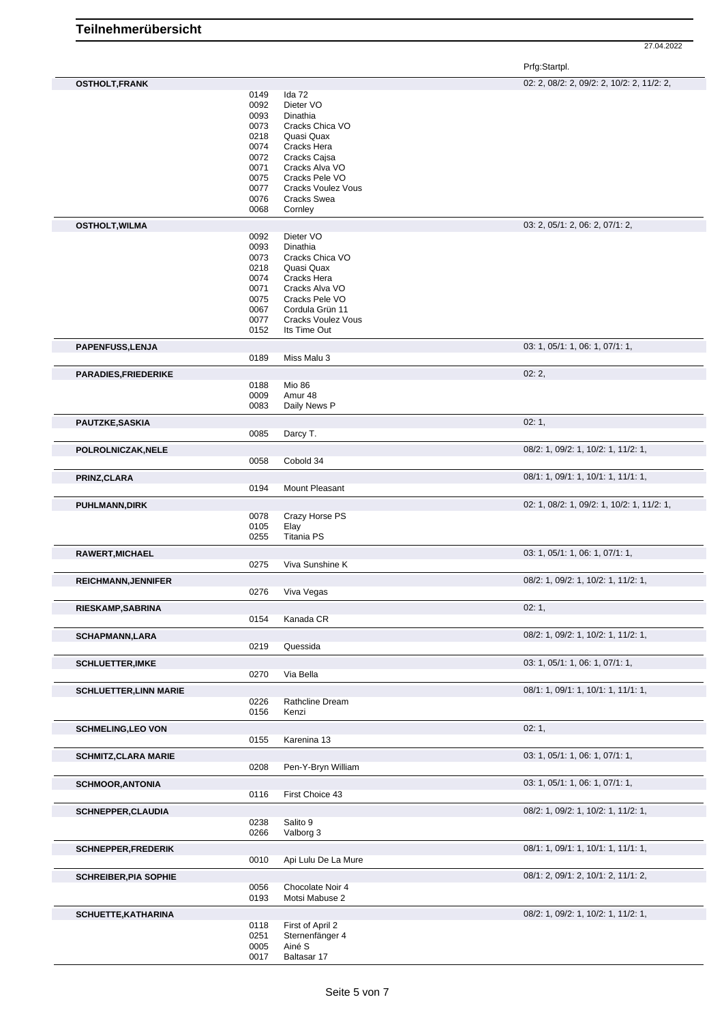27.04.2022

Prfg:Startpl.

| <b>OSTHOLT, FRANK</b>         |              |                           | 02: 2, 08/2: 2, 09/2: 2, 10/2: 2, 11/2: 2, |
|-------------------------------|--------------|---------------------------|--------------------------------------------|
|                               | 0149         | Ida 72                    |                                            |
|                               | 0092         | Dieter VO                 |                                            |
|                               | 0093         | Dinathia                  |                                            |
|                               | 0073         | Cracks Chica VO           |                                            |
|                               | 0218         | Quasi Quax                |                                            |
|                               | 0074         | Cracks Hera               |                                            |
|                               | 0072         | Cracks Cajsa              |                                            |
|                               | 0071         | Cracks Alva VO            |                                            |
|                               | 0075         | Cracks Pele VO            |                                            |
|                               | 0077         | <b>Cracks Voulez Vous</b> |                                            |
|                               | 0076         | Cracks Swea               |                                            |
|                               | 0068         | Cornley                   |                                            |
| <b>OSTHOLT, WILMA</b>         |              |                           | 03: 2, 05/1: 2, 06: 2, 07/1: 2,            |
|                               | 0092         | Dieter VO                 |                                            |
|                               | 0093         | Dinathia                  |                                            |
|                               | 0073         | Cracks Chica VO           |                                            |
|                               | 0218         | Quasi Quax                |                                            |
|                               | 0074         | Cracks Hera               |                                            |
|                               | 0071         | Cracks Alva VO            |                                            |
|                               | 0075         | Cracks Pele VO            |                                            |
|                               | 0067         | Cordula Grün 11           |                                            |
|                               | 0077         | <b>Cracks Voulez Vous</b> |                                            |
|                               | 0152         | Its Time Out              |                                            |
| <b>PAPENFUSS, LENJA</b>       |              |                           | 03: 1, 05/1: 1, 06: 1, 07/1: 1,            |
|                               | 0189         | Miss Malu 3               |                                            |
| <b>PARADIES, FRIEDERIKE</b>   |              |                           | 02:2,                                      |
|                               | 0188         | Mio 86                    |                                            |
|                               | 0009         | Amur 48                   |                                            |
|                               | 0083         | Daily News P              |                                            |
|                               |              |                           |                                            |
| PAUTZKE, SASKIA               |              |                           | 02:1,                                      |
|                               | 0085         | Darcy T.                  |                                            |
| POLROLNICZAK, NELE            |              |                           | 08/2: 1, 09/2: 1, 10/2: 1, 11/2: 1,        |
|                               | 0058         | Cobold 34                 |                                            |
| PRINZ, CLARA                  |              |                           | 08/1: 1, 09/1: 1, 10/1: 1, 11/1: 1,        |
|                               | 0194         | Mount Pleasant            |                                            |
|                               |              |                           |                                            |
| <b>PUHLMANN, DIRK</b>         |              |                           | 02: 1, 08/2: 1, 09/2: 1, 10/2: 1, 11/2: 1, |
|                               | 0078         | Crazy Horse PS            |                                            |
|                               | 0105         | Elay                      |                                            |
|                               | 0255         | <b>Titania PS</b>         |                                            |
| RAWERT, MICHAEL               |              |                           | 03: 1, 05/1: 1, 06: 1, 07/1: 1,            |
|                               | 0275         | Viva Sunshine K           |                                            |
| <b>REICHMANN, JENNIFER</b>    |              |                           | 08/2: 1, 09/2: 1, 10/2: 1, 11/2: 1,        |
|                               | 0276         | Viva Vegas                |                                            |
|                               |              |                           | 02:1,                                      |
| <b>RIESKAMP, SABRINA</b>      | 0154         |                           |                                            |
|                               |              | Kanada CR                 |                                            |
| <b>SCHAPMANN,LARA</b>         |              |                           | 08/2: 1, 09/2: 1, 10/2: 1, 11/2: 1,        |
|                               | 0219         | Quessida                  |                                            |
| <b>SCHLUETTER, IMKE</b>       |              |                           | 03: 1, 05/1: 1, 06: 1, 07/1: 1,            |
|                               | 0270         | Via Bella                 |                                            |
|                               |              |                           | 08/1: 1, 09/1: 1, 10/1: 1, 11/1: 1,        |
| <b>SCHLUETTER, LINN MARIE</b> |              |                           |                                            |
|                               | 0226<br>0156 | Rathcline Dream<br>Kenzi  |                                            |
|                               |              |                           |                                            |
| <b>SCHMELING, LEO VON</b>     |              |                           | 02:1,                                      |
|                               | 0155         | Karenina 13               |                                            |
| <b>SCHMITZ, CLARA MARIE</b>   |              |                           | 03: 1, 05/1: 1, 06: 1, 07/1: 1,            |
|                               | 0208         | Pen-Y-Bryn William        |                                            |
|                               |              |                           |                                            |
| <b>SCHMOOR, ANTONIA</b>       |              |                           | 03: 1, 05/1: 1, 06: 1, 07/1: 1,            |
|                               | 0116         | First Choice 43           |                                            |
| <b>SCHNEPPER, CLAUDIA</b>     |              |                           | 08/2: 1, 09/2: 1, 10/2: 1, 11/2: 1,        |
|                               | 0238         | Salito 9                  |                                            |
|                               | 0266         | Valborg 3                 |                                            |
| <b>SCHNEPPER, FREDERIK</b>    |              |                           | 08/1: 1, 09/1: 1, 10/1: 1, 11/1: 1,        |
|                               | 0010         | Api Lulu De La Mure       |                                            |
|                               |              |                           |                                            |
| <b>SCHREIBER, PIA SOPHIE</b>  |              |                           | 08/1: 2, 09/1: 2, 10/1: 2, 11/1: 2,        |
|                               | 0056         | Chocolate Noir 4          |                                            |
|                               | 0193         | Motsi Mabuse 2            |                                            |
| <b>SCHUETTE, KATHARINA</b>    |              |                           | 08/2: 1, 09/2: 1, 10/2: 1, 11/2: 1,        |
|                               | 0118         | First of April 2          |                                            |
|                               | 0251         | Sternenfänger 4           |                                            |
|                               | 0005         | Ainé S                    |                                            |
|                               | 0017         | Baltasar 17               |                                            |
|                               |              |                           |                                            |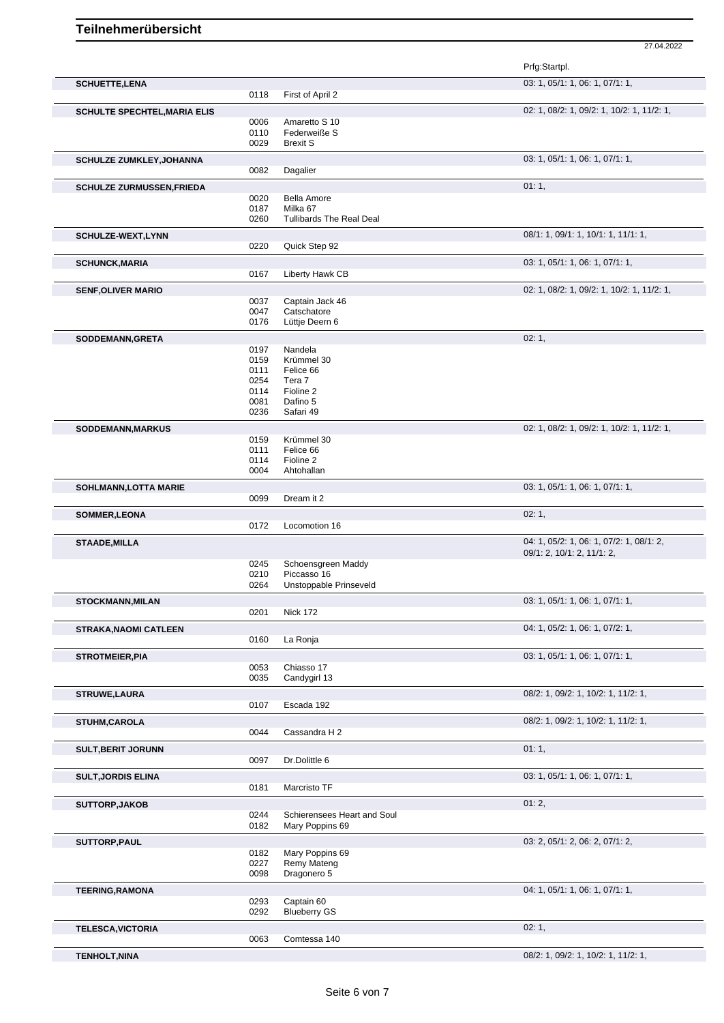|                                                                                                                                                                                                                        |              |                                   | Prfg:Startpl.                                                          |
|------------------------------------------------------------------------------------------------------------------------------------------------------------------------------------------------------------------------|--------------|-----------------------------------|------------------------------------------------------------------------|
| <b>SCHUETTE, LENA</b>                                                                                                                                                                                                  |              |                                   | 03: 1, 05/1: 1, 06: 1, 07/1: 1,                                        |
|                                                                                                                                                                                                                        | 0118         | First of April 2                  |                                                                        |
| <b>SCHULTE SPECHTEL, MARIA ELIS</b>                                                                                                                                                                                    |              |                                   | 02: 1, 08/2: 1, 09/2: 1, 10/2: 1, 11/2: 1,                             |
|                                                                                                                                                                                                                        | 0006<br>0110 | Amaretto S 10<br>Federweiße S     |                                                                        |
|                                                                                                                                                                                                                        | 0029         | <b>Brexit S</b>                   |                                                                        |
| <b>SCHULZE ZUMKLEY, JOHANNA</b>                                                                                                                                                                                        |              |                                   | 03: 1, 05/1: 1, 06: 1, 07/1: 1,                                        |
|                                                                                                                                                                                                                        | 0082         | Dagalier                          |                                                                        |
| SCHULZE ZURMUSSEN, FRIEDA                                                                                                                                                                                              |              |                                   | 01:1,                                                                  |
|                                                                                                                                                                                                                        | 0020         | <b>Bella Amore</b>                |                                                                        |
|                                                                                                                                                                                                                        | 0187         | Milka 67                          |                                                                        |
|                                                                                                                                                                                                                        | 0260         | <b>Tullibards The Real Deal</b>   |                                                                        |
| <b>SCHULZE-WEXT,LYNN</b>                                                                                                                                                                                               |              |                                   | 08/1: 1, 09/1: 1, 10/1: 1, 11/1: 1,                                    |
|                                                                                                                                                                                                                        | 0220         | Quick Step 92                     |                                                                        |
| <b>SCHUNCK, MARIA</b>                                                                                                                                                                                                  |              |                                   | 03: 1, 05/1: 1, 06: 1, 07/1: 1,                                        |
|                                                                                                                                                                                                                        | 0167         | Liberty Hawk CB                   |                                                                        |
| <b>SENF, OLIVER MARIO</b>                                                                                                                                                                                              |              |                                   | 02: 1, 08/2: 1, 09/2: 1, 10/2: 1, 11/2: 1,                             |
|                                                                                                                                                                                                                        | 0037<br>0047 | Captain Jack 46<br>Catschatore    |                                                                        |
|                                                                                                                                                                                                                        | 0176         | Lüttje Deern 6                    |                                                                        |
|                                                                                                                                                                                                                        |              |                                   | 02:1,                                                                  |
| SODDEMANN, GRETA                                                                                                                                                                                                       | 0197         | Nandela                           |                                                                        |
|                                                                                                                                                                                                                        | 0159         | Krümmel 30                        |                                                                        |
|                                                                                                                                                                                                                        | 0111         | Felice 66                         |                                                                        |
|                                                                                                                                                                                                                        | 0254         | Tera 7                            |                                                                        |
|                                                                                                                                                                                                                        | 0114<br>0081 | Fioline 2<br>Dafino 5             |                                                                        |
|                                                                                                                                                                                                                        | 0236         | Safari 49                         |                                                                        |
| SODDEMANN, MARKUS                                                                                                                                                                                                      |              |                                   | 02: 1, 08/2: 1, 09/2: 1, 10/2: 1, 11/2: 1,                             |
|                                                                                                                                                                                                                        | 0159         | Krümmel 30                        |                                                                        |
|                                                                                                                                                                                                                        | 0111         | Felice 66                         |                                                                        |
|                                                                                                                                                                                                                        | 0114         | Fioline 2                         |                                                                        |
|                                                                                                                                                                                                                        | 0004         | Ahtohallan                        |                                                                        |
| SOHLMANN, LOTTA MARIE                                                                                                                                                                                                  |              |                                   | 03: 1, 05/1: 1, 06: 1, 07/1: 1,                                        |
|                                                                                                                                                                                                                        | 0099         | Dream it 2                        |                                                                        |
| <b>SOMMER,LEONA</b>                                                                                                                                                                                                    |              |                                   | 02:1,                                                                  |
|                                                                                                                                                                                                                        | 0172         | Locomotion 16                     |                                                                        |
| <b>STAADE, MILLA</b>                                                                                                                                                                                                   |              |                                   | 04: 1, 05/2: 1, 06: 1, 07/2: 1, 08/1: 2,<br>09/1: 2, 10/1: 2, 11/1: 2, |
|                                                                                                                                                                                                                        | 0245         | Schoensgreen Maddy                |                                                                        |
|                                                                                                                                                                                                                        | 0210         | Piccasso 16                       |                                                                        |
|                                                                                                                                                                                                                        | 0264         | Unstoppable Prinseveld            |                                                                        |
| <b>STOCKMANN, MILAN</b>                                                                                                                                                                                                |              |                                   | 03: 1, 05/1: 1, 06: 1, 07/1: 1,                                        |
|                                                                                                                                                                                                                        | 0201         | <b>Nick 172</b>                   |                                                                        |
| <b>STRAKA, NAOMI CATLEEN</b>                                                                                                                                                                                           |              |                                   | 04: 1, 05/2: 1, 06: 1, 07/2: 1,                                        |
|                                                                                                                                                                                                                        | 0160         | La Ronja                          |                                                                        |
| <b>STROTMEIER, PIA</b>                                                                                                                                                                                                 |              |                                   |                                                                        |
|                                                                                                                                                                                                                        |              |                                   | 03: 1, 05/1: 1, 06: 1, 07/1: 1,                                        |
|                                                                                                                                                                                                                        | 0053         | Chiasso 17                        |                                                                        |
|                                                                                                                                                                                                                        | 0035         | Candygirl 13                      |                                                                        |
|                                                                                                                                                                                                                        |              |                                   | 08/2: 1, 09/2: 1, 10/2: 1, 11/2: 1,                                    |
|                                                                                                                                                                                                                        | 0107         | Escada 192                        |                                                                        |
|                                                                                                                                                                                                                        |              |                                   | 08/2: 1, 09/2: 1, 10/2: 1, 11/2: 1,                                    |
|                                                                                                                                                                                                                        | 0044         | Cassandra H 2                     |                                                                        |
|                                                                                                                                                                                                                        |              |                                   | 01:1,                                                                  |
|                                                                                                                                                                                                                        | 0097         | Dr.Dolittle 6                     |                                                                        |
|                                                                                                                                                                                                                        |              |                                   | 03: 1, 05/1: 1, 06: 1, 07/1: 1,                                        |
|                                                                                                                                                                                                                        | 0181         | Marcristo TF                      |                                                                        |
|                                                                                                                                                                                                                        |              |                                   | 01:2,                                                                  |
|                                                                                                                                                                                                                        | 0244         | Schierensees Heart and Soul       |                                                                        |
|                                                                                                                                                                                                                        | 0182         | Mary Poppins 69                   |                                                                        |
|                                                                                                                                                                                                                        |              |                                   | 03: 2, 05/1: 2, 06: 2, 07/1: 2,                                        |
|                                                                                                                                                                                                                        | 0182         | Mary Poppins 69                   |                                                                        |
|                                                                                                                                                                                                                        | 0227         | Remy Mateng                       |                                                                        |
|                                                                                                                                                                                                                        | 0098         | Dragonero 5                       |                                                                        |
|                                                                                                                                                                                                                        |              |                                   | 04: 1, 05/1: 1, 06: 1, 07/1: 1,                                        |
|                                                                                                                                                                                                                        | 0293<br>0292 | Captain 60<br><b>Blueberry GS</b> |                                                                        |
|                                                                                                                                                                                                                        |              |                                   |                                                                        |
|                                                                                                                                                                                                                        | 0063         | Comtessa 140                      | 02:1,                                                                  |
| <b>STRUWE,LAURA</b><br>STUHM, CAROLA<br><b>SULT, BERIT JORUNN</b><br><b>SULT, JORDIS ELINA</b><br><b>SUTTORP, JAKOB</b><br>SUTTORP, PAUL<br><b>TEERING, RAMONA</b><br><b>TELESCA, VICTORIA</b><br><b>TENHOLT, NINA</b> |              |                                   | 08/2: 1, 09/2: 1, 10/2: 1, 11/2: 1,                                    |